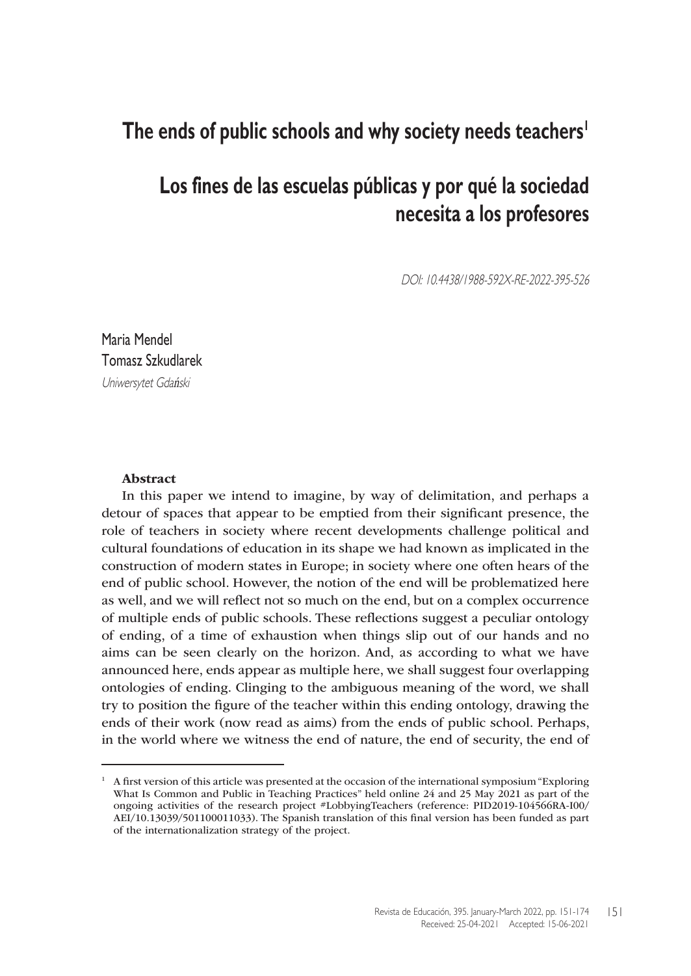# **The ends of public schools and why society needs teachers1**

# **Los fines de las escuelas públicas y por qué la sociedad necesita a los profesores**

DOI: 10.4438/1988-592X-RE-2022-395-526

Maria Mendel Tomasz Szkudlarek Uniwersytet Gdański

#### Abstract

In this paper we intend to imagine, by way of delimitation, and perhaps a detour of spaces that appear to be emptied from their significant presence, the role of teachers in society where recent developments challenge political and cultural foundations of education in its shape we had known as implicated in the construction of modern states in Europe; in society where one often hears of the end of public school. However, the notion of the end will be problematized here as well, and we will reflect not so much on the end, but on a complex occurrence of multiple ends of public schools. These reflections suggest a peculiar ontology of ending, of a time of exhaustion when things slip out of our hands and no aims can be seen clearly on the horizon. And, as according to what we have announced here, ends appear as multiple here, we shall suggest four overlapping ontologies of ending. Clinging to the ambiguous meaning of the word, we shall try to position the figure of the teacher within this ending ontology, drawing the ends of their work (now read as aims) from the ends of public school. Perhaps, in the world where we witness the end of nature, the end of security, the end of

 $1$  A first version of this article was presented at the occasion of the international symposium "Exploring" What Is Common and Public in Teaching Practices" held online 24 and 25 May 2021 as part of the ongoing activities of the research project #LobbyingTeachers (reference: PID2019-104566RA-I00/ AEI/10.13039/501100011033). The Spanish translation of this final version has been funded as part of the internationalization strategy of the project.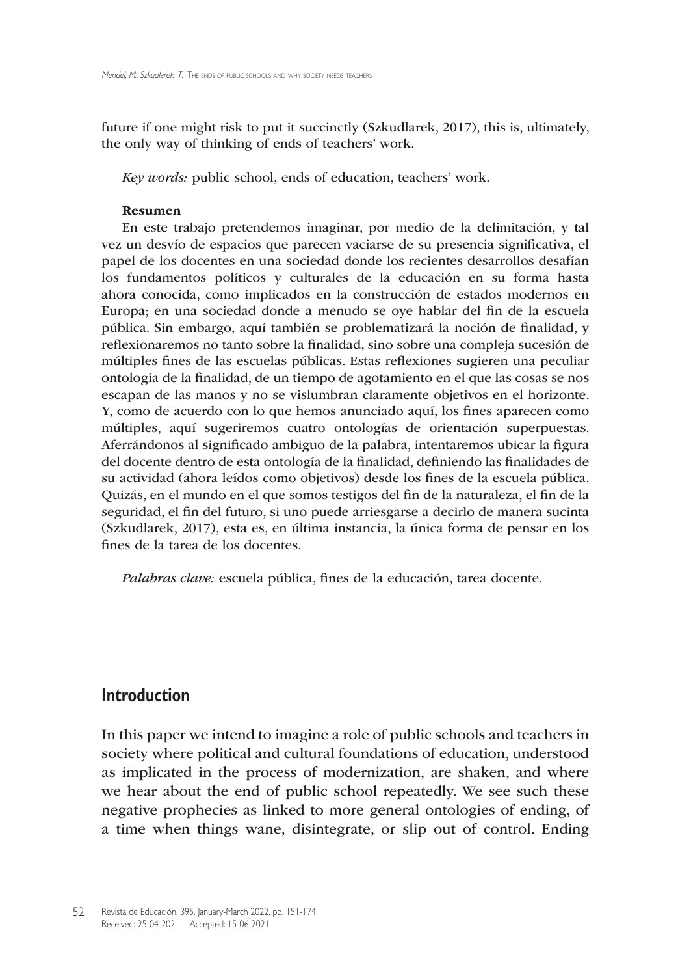future if one might risk to put it succinctly (Szkudlarek, 2017), this is, ultimately, the only way of thinking of ends of teachers' work.

*Key words:* public school, ends of education, teachers' work.

#### Resumen

En este trabajo pretendemos imaginar, por medio de la delimitación, y tal vez un desvío de espacios que parecen vaciarse de su presencia significativa, el papel de los docentes en una sociedad donde los recientes desarrollos desafían los fundamentos políticos y culturales de la educación en su forma hasta ahora conocida, como implicados en la construcción de estados modernos en Europa; en una sociedad donde a menudo se oye hablar del fin de la escuela pública. Sin embargo, aquí también se problematizará la noción de finalidad, y reflexionaremos no tanto sobre la finalidad, sino sobre una compleja sucesión de múltiples fines de las escuelas públicas. Estas reflexiones sugieren una peculiar ontología de la finalidad, de un tiempo de agotamiento en el que las cosas se nos escapan de las manos y no se vislumbran claramente objetivos en el horizonte. Y, como de acuerdo con lo que hemos anunciado aquí, los fines aparecen como múltiples, aquí sugeriremos cuatro ontologías de orientación superpuestas. Aferrándonos al significado ambiguo de la palabra, intentaremos ubicar la figura del docente dentro de esta ontología de la finalidad, definiendo las finalidades de su actividad (ahora leídos como objetivos) desde los fines de la escuela pública. Quizás, en el mundo en el que somos testigos del fin de la naturaleza, el fin de la seguridad, el fin del futuro, si uno puede arriesgarse a decirlo de manera sucinta (Szkudlarek, 2017), esta es, en última instancia, la única forma de pensar en los fines de la tarea de los docentes.

*Palabras clave:* escuela pública, fines de la educación, tarea docente.

#### **Introduction**

In this paper we intend to imagine a role of public schools and teachers in society where political and cultural foundations of education, understood as implicated in the process of modernization, are shaken, and where we hear about the end of public school repeatedly. We see such these negative prophecies as linked to more general ontologies of ending, of a time when things wane, disintegrate, or slip out of control. Ending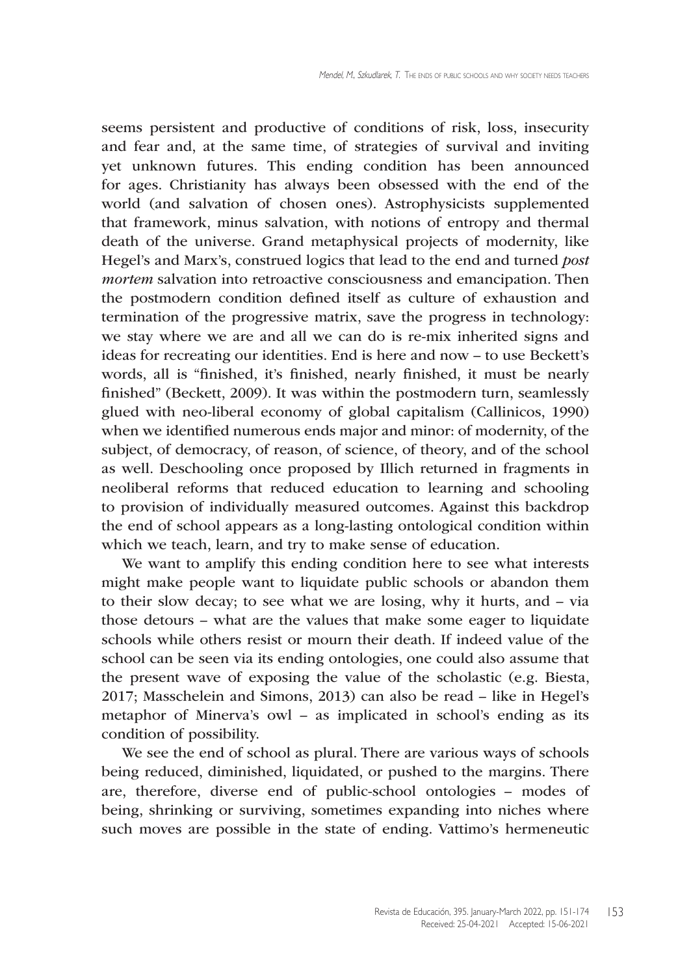seems persistent and productive of conditions of risk, loss, insecurity and fear and, at the same time, of strategies of survival and inviting yet unknown futures. This ending condition has been announced for ages. Christianity has always been obsessed with the end of the world (and salvation of chosen ones). Astrophysicists supplemented that framework, minus salvation, with notions of entropy and thermal death of the universe. Grand metaphysical projects of modernity, like Hegel's and Marx's, construed logics that lead to the end and turned *post mortem* salvation into retroactive consciousness and emancipation. Then the postmodern condition defined itself as culture of exhaustion and termination of the progressive matrix, save the progress in technology: we stay where we are and all we can do is re-mix inherited signs and ideas for recreating our identities. End is here and now – to use Beckett's words, all is "finished, it's finished, nearly finished, it must be nearly finished" (Beckett, 2009). It was within the postmodern turn, seamlessly glued with neo-liberal economy of global capitalism (Callinicos, 1990) when we identified numerous ends major and minor: of modernity, of the subject, of democracy, of reason, of science, of theory, and of the school as well. Deschooling once proposed by Illich returned in fragments in neoliberal reforms that reduced education to learning and schooling to provision of individually measured outcomes. Against this backdrop the end of school appears as a long-lasting ontological condition within which we teach, learn, and try to make sense of education.

We want to amplify this ending condition here to see what interests might make people want to liquidate public schools or abandon them to their slow decay; to see what we are losing, why it hurts, and – via those detours – what are the values that make some eager to liquidate schools while others resist or mourn their death. If indeed value of the school can be seen via its ending ontologies, one could also assume that the present wave of exposing the value of the scholastic (e.g. Biesta, 2017; Masschelein and Simons, 2013) can also be read – like in Hegel's metaphor of Minerva's owl – as implicated in school's ending as its condition of possibility.

We see the end of school as plural. There are various ways of schools being reduced, diminished, liquidated, or pushed to the margins. There are, therefore, diverse end of public-school ontologies – modes of being, shrinking or surviving, sometimes expanding into niches where such moves are possible in the state of ending. Vattimo's hermeneutic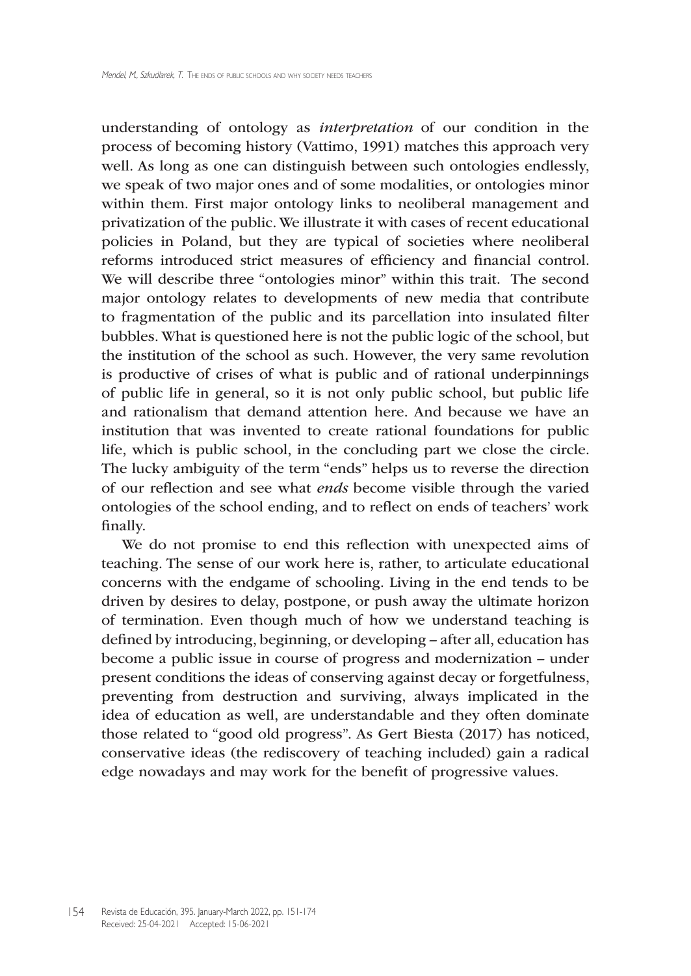understanding of ontology as *interpretation* of our condition in the process of becoming history (Vattimo, 1991) matches this approach very well. As long as one can distinguish between such ontologies endlessly, we speak of two major ones and of some modalities, or ontologies minor within them. First major ontology links to neoliberal management and privatization of the public. We illustrate it with cases of recent educational policies in Poland, but they are typical of societies where neoliberal reforms introduced strict measures of efficiency and financial control. We will describe three "ontologies minor" within this trait. The second major ontology relates to developments of new media that contribute to fragmentation of the public and its parcellation into insulated filter bubbles. What is questioned here is not the public logic of the school, but the institution of the school as such. However, the very same revolution is productive of crises of what is public and of rational underpinnings of public life in general, so it is not only public school, but public life and rationalism that demand attention here. And because we have an institution that was invented to create rational foundations for public life, which is public school, in the concluding part we close the circle. The lucky ambiguity of the term "ends" helps us to reverse the direction of our reflection and see what *ends* become visible through the varied ontologies of the school ending, and to reflect on ends of teachers' work finally.

We do not promise to end this reflection with unexpected aims of teaching. The sense of our work here is, rather, to articulate educational concerns with the endgame of schooling. Living in the end tends to be driven by desires to delay, postpone, or push away the ultimate horizon of termination. Even though much of how we understand teaching is defined by introducing, beginning, or developing – after all, education has become a public issue in course of progress and modernization – under present conditions the ideas of conserving against decay or forgetfulness, preventing from destruction and surviving, always implicated in the idea of education as well, are understandable and they often dominate those related to "good old progress". As Gert Biesta (2017) has noticed, conservative ideas (the rediscovery of teaching included) gain a radical edge nowadays and may work for the benefit of progressive values.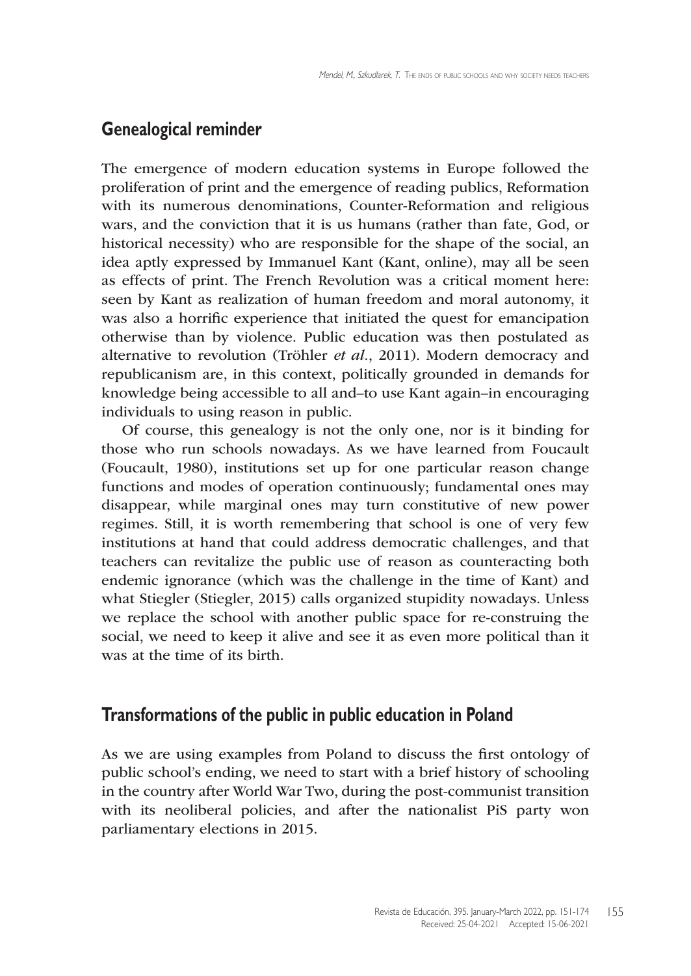# **Genealogical reminder**

The emergence of modern education systems in Europe followed the proliferation of print and the emergence of reading publics, Reformation with its numerous denominations, Counter-Reformation and religious wars, and the conviction that it is us humans (rather than fate, God, or historical necessity) who are responsible for the shape of the social, an idea aptly expressed by Immanuel Kant (Kant, online), may all be seen as effects of print. The French Revolution was a critical moment here: seen by Kant as realization of human freedom and moral autonomy, it was also a horrific experience that initiated the quest for emancipation otherwise than by violence. Public education was then postulated as alternative to revolution (Tröhler *et al.*, 2011). Modern democracy and republicanism are, in this context, politically grounded in demands for knowledge being accessible to all and–to use Kant again–in encouraging individuals to using reason in public.

Of course, this genealogy is not the only one, nor is it binding for those who run schools nowadays. As we have learned from Foucault (Foucault, 1980), institutions set up for one particular reason change functions and modes of operation continuously; fundamental ones may disappear, while marginal ones may turn constitutive of new power regimes. Still, it is worth remembering that school is one of very few institutions at hand that could address democratic challenges, and that teachers can revitalize the public use of reason as counteracting both endemic ignorance (which was the challenge in the time of Kant) and what Stiegler (Stiegler, 2015) calls organized stupidity nowadays. Unless we replace the school with another public space for re-construing the social, we need to keep it alive and see it as even more political than it was at the time of its birth.

### **Transformations of the public in public education in Poland**

As we are using examples from Poland to discuss the first ontology of public school's ending, we need to start with a brief history of schooling in the country after World War Two, during the post-communist transition with its neoliberal policies, and after the nationalist PiS party won parliamentary elections in 2015.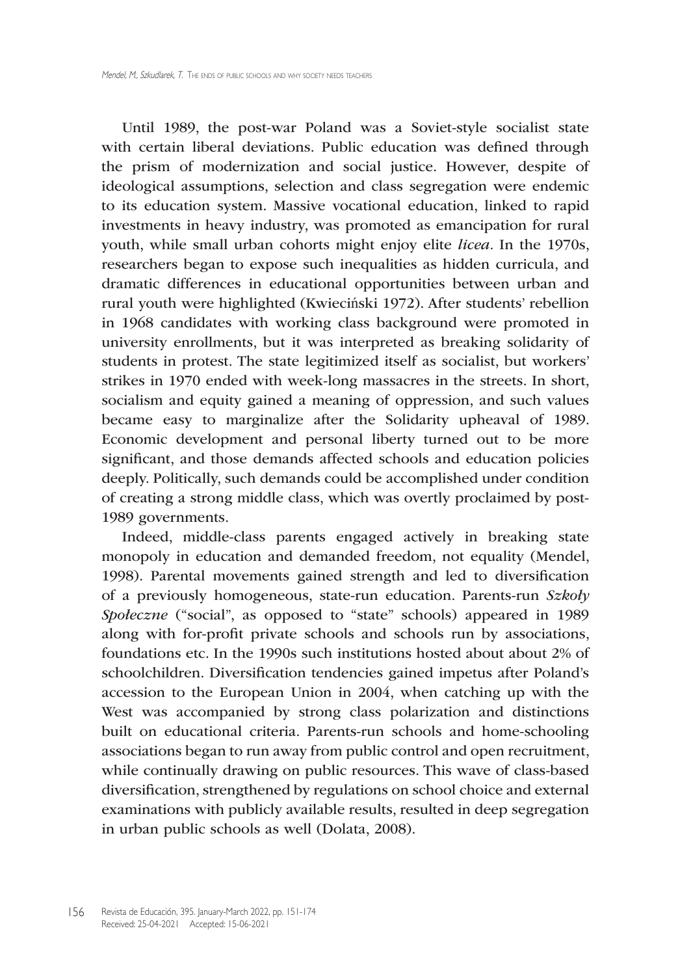Until 1989, the post-war Poland was a Soviet-style socialist state with certain liberal deviations. Public education was defined through the prism of modernization and social justice. However, despite of ideological assumptions, selection and class segregation were endemic to its education system. Massive vocational education, linked to rapid investments in heavy industry, was promoted as emancipation for rural youth, while small urban cohorts might enjoy elite *licea.* In the 1970s, researchers began to expose such inequalities as hidden curricula, and dramatic differences in educational opportunities between urban and rural youth were highlighted (Kwieciński 1972). After students' rebellion in 1968 candidates with working class background were promoted in university enrollments, but it was interpreted as breaking solidarity of students in protest. The state legitimized itself as socialist, but workers' strikes in 1970 ended with week-long massacres in the streets. In short, socialism and equity gained a meaning of oppression, and such values became easy to marginalize after the Solidarity upheaval of 1989. Economic development and personal liberty turned out to be more significant, and those demands affected schools and education policies deeply. Politically, such demands could be accomplished under condition of creating a strong middle class, which was overtly proclaimed by post-1989 governments.

Indeed, middle-class parents engaged actively in breaking state monopoly in education and demanded freedom, not equality (Mendel, 1998). Parental movements gained strength and led to diversification of a previously homogeneous, state-run education. Parents-run *Szkoły Społeczne* ("social", as opposed to "state" schools) appeared in 1989 along with for-profit private schools and schools run by associations, foundations etc. In the 1990s such institutions hosted about about 2% of schoolchildren. Diversification tendencies gained impetus after Poland's accession to the European Union in 2004, when catching up with the West was accompanied by strong class polarization and distinctions built on educational criteria. Parents-run schools and home-schooling associations began to run away from public control and open recruitment, while continually drawing on public resources. This wave of class-based diversification, strengthened by regulations on school choice and external examinations with publicly available results, resulted in deep segregation in urban public schools as well (Dolata, 2008).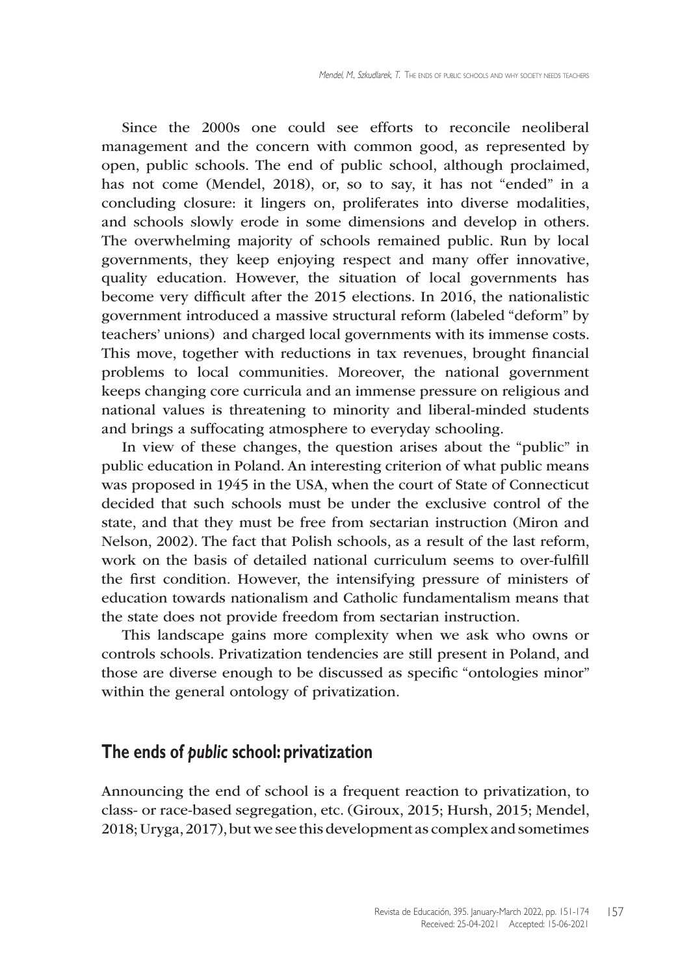Since the 2000s one could see efforts to reconcile neoliberal management and the concern with common good, as represented by open, public schools. The end of public school, although proclaimed, has not come (Mendel, 2018), or, so to say, it has not "ended" in a concluding closure: it lingers on, proliferates into diverse modalities, and schools slowly erode in some dimensions and develop in others. The overwhelming majority of schools remained public. Run by local governments, they keep enjoying respect and many offer innovative, quality education. However, the situation of local governments has become very difficult after the 2015 elections. In 2016, the nationalistic government introduced a massive structural reform (labeled "deform" by teachers' unions) and charged local governments with its immense costs. This move, together with reductions in tax revenues, brought financial problems to local communities. Moreover, the national government keeps changing core curricula and an immense pressure on religious and national values is threatening to minority and liberal-minded students and brings a suffocating atmosphere to everyday schooling.

In view of these changes, the question arises about the "public" in public education in Poland. An interesting criterion of what public means was proposed in 1945 in the USA, when the court of State of Connecticut decided that such schools must be under the exclusive control of the state, and that they must be free from sectarian instruction (Miron and Nelson, 2002). The fact that Polish schools, as a result of the last reform, work on the basis of detailed national curriculum seems to over-fulfill the first condition. However, the intensifying pressure of ministers of education towards nationalism and Catholic fundamentalism means that the state does not provide freedom from sectarian instruction.

This landscape gains more complexity when we ask who owns or controls schools. Privatization tendencies are still present in Poland, and those are diverse enough to be discussed as specific "ontologies minor" within the general ontology of privatization.

#### **The ends of** *public* **school: privatization**

Announcing the end of school is a frequent reaction to privatization, to class- or race-based segregation, etc. (Giroux, 2015; Hursh, 2015; Mendel, 2018; Uryga, 2017), but we see this development as complex and sometimes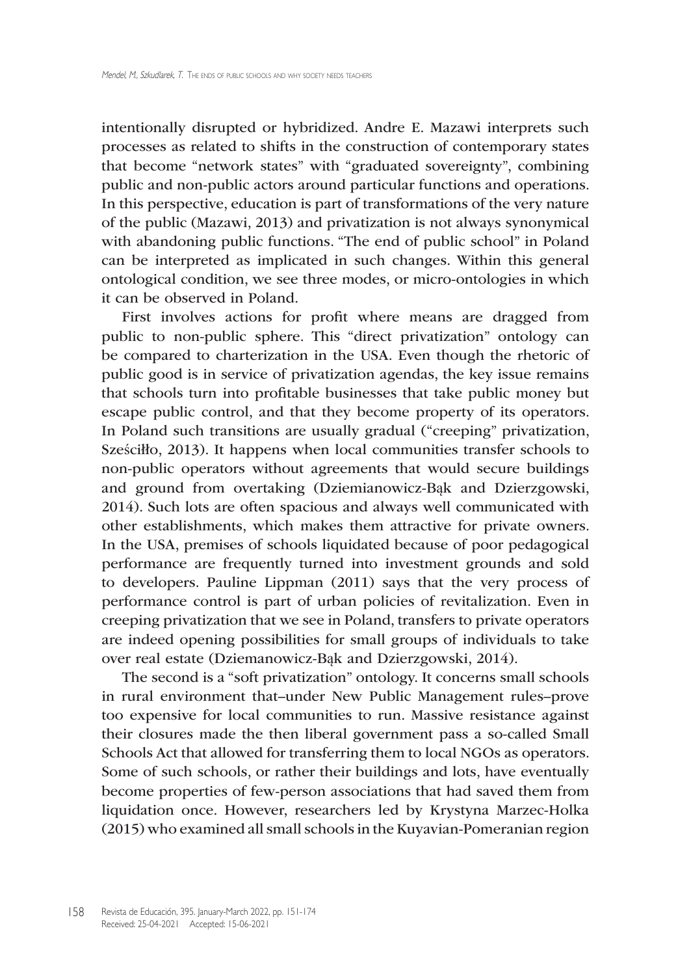intentionally disrupted or hybridized. Andre E. Mazawi interprets such processes as related to shifts in the construction of contemporary states that become "network states" with "graduated sovereignty", combining public and non-public actors around particular functions and operations. In this perspective, education is part of transformations of the very nature of the public (Mazawi, 2013) and privatization is not always synonymical with abandoning public functions. "The end of public school" in Poland can be interpreted as implicated in such changes. Within this general ontological condition, we see three modes, or micro-ontologies in which it can be observed in Poland.

First involves actions for profit where means are dragged from public to non-public sphere. This "direct privatization" ontology can be compared to charterization in the USA. Even though the rhetoric of public good is in service of privatization agendas, the key issue remains that schools turn into profitable businesses that take public money but escape public control, and that they become property of its operators. In Poland such transitions are usually gradual ("creeping" privatization, Sześciłło, 2013). It happens when local communities transfer schools to non-public operators without agreements that would secure buildings and ground from overtaking (Dziemianowicz-Bąk and Dzierzgowski, 2014). Such lots are often spacious and always well communicated with other establishments, which makes them attractive for private owners. In the USA, premises of schools liquidated because of poor pedagogical performance are frequently turned into investment grounds and sold to developers. Pauline Lippman (2011) says that the very process of performance control is part of urban policies of revitalization. Even in creeping privatization that we see in Poland, transfers to private operators are indeed opening possibilities for small groups of individuals to take over real estate (Dziemanowicz-Bąk and Dzierzgowski, 2014).

The second is a "soft privatization" ontology. It concerns small schools in rural environment that–under New Public Management rules–prove too expensive for local communities to run. Massive resistance against their closures made the then liberal government pass a so-called Small Schools Act that allowed for transferring them to local NGOs as operators. Some of such schools, or rather their buildings and lots, have eventually become properties of few-person associations that had saved them from liquidation once. However, researchers led by Krystyna Marzec-Holka (2015) who examined all small schools in the Kuyavian-Pomeranian region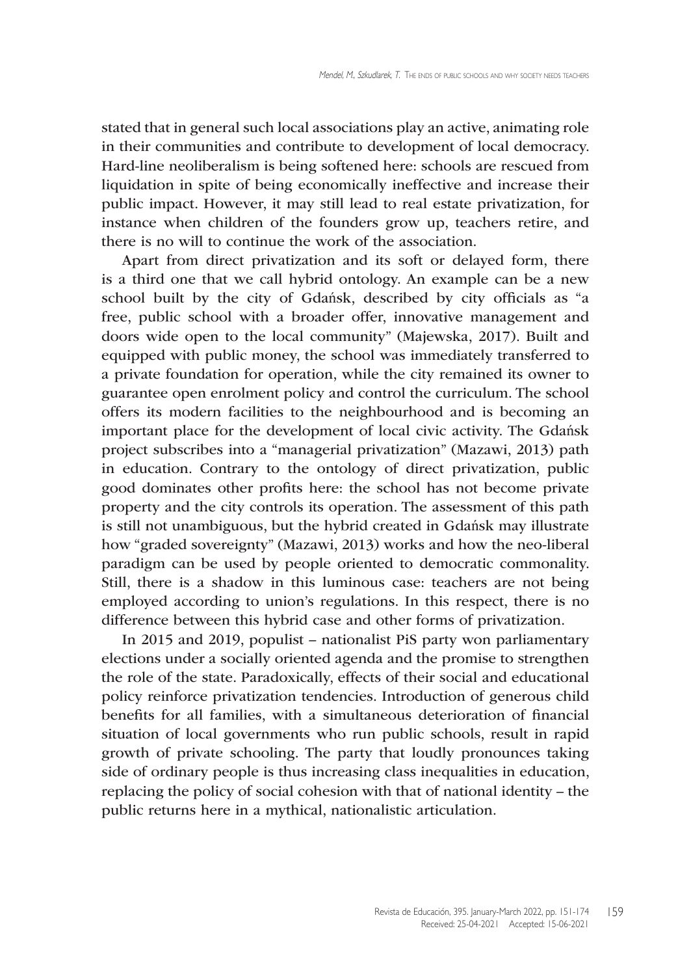stated that in general such local associations play an active, animating role in their communities and contribute to development of local democracy. Hard-line neoliberalism is being softened here: schools are rescued from liquidation in spite of being economically ineffective and increase their public impact. However, it may still lead to real estate privatization, for instance when children of the founders grow up, teachers retire, and there is no will to continue the work of the association.

Apart from direct privatization and its soft or delayed form, there is a third one that we call hybrid ontology. An example can be a new school built by the city of Gdańsk, described by city officials as "a free, public school with a broader offer, innovative management and doors wide open to the local community" (Majewska, 2017). Built and equipped with public money, the school was immediately transferred to a private foundation for operation, while the city remained its owner to guarantee open enrolment policy and control the curriculum. The school offers its modern facilities to the neighbourhood and is becoming an important place for the development of local civic activity. The Gdańsk project subscribes into a "managerial privatization" (Mazawi, 2013) path in education. Contrary to the ontology of direct privatization, public good dominates other profits here: the school has not become private property and the city controls its operation. The assessment of this path is still not unambiguous, but the hybrid created in Gdańsk may illustrate how "graded sovereignty" (Mazawi, 2013) works and how the neo-liberal paradigm can be used by people oriented to democratic commonality. Still, there is a shadow in this luminous case: teachers are not being employed according to union's regulations. In this respect, there is no difference between this hybrid case and other forms of privatization.

In 2015 and 2019, populist – nationalist PiS party won parliamentary elections under a socially oriented agenda and the promise to strengthen the role of the state. Paradoxically, effects of their social and educational policy reinforce privatization tendencies. Introduction of generous child benefits for all families, with a simultaneous deterioration of financial situation of local governments who run public schools, result in rapid growth of private schooling. The party that loudly pronounces taking side of ordinary people is thus increasing class inequalities in education, replacing the policy of social cohesion with that of national identity – the public returns here in a mythical, nationalistic articulation.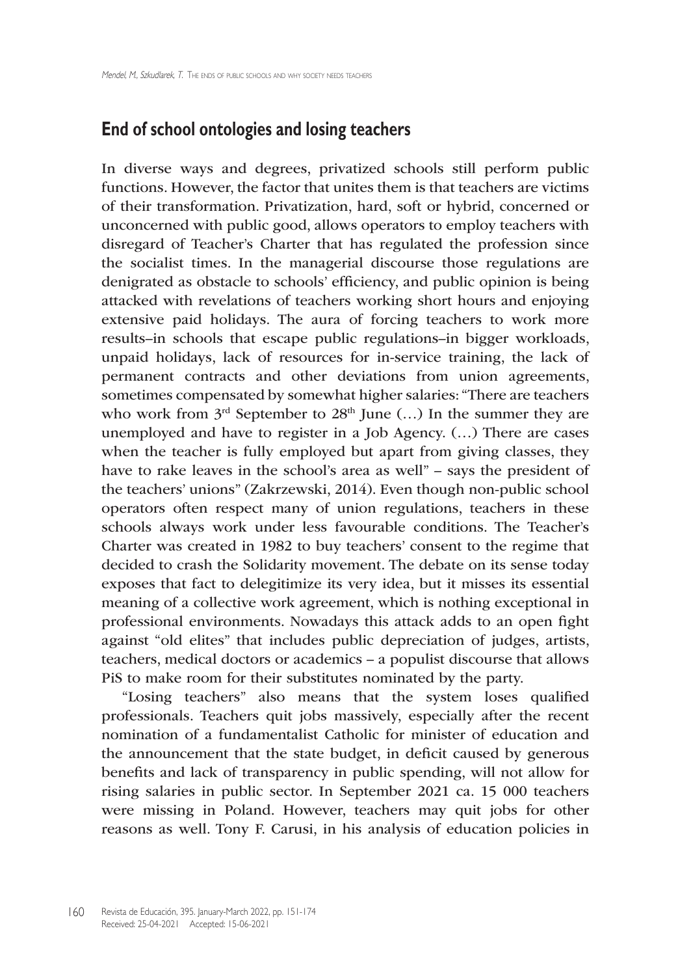### **End of school ontologies and losing teachers**

In diverse ways and degrees, privatized schools still perform public functions. However, the factor that unites them is that teachers are victims of their transformation. Privatization, hard, soft or hybrid, concerned or unconcerned with public good, allows operators to employ teachers with disregard of Teacher's Charter that has regulated the profession since the socialist times. In the managerial discourse those regulations are denigrated as obstacle to schools' efficiency, and public opinion is being attacked with revelations of teachers working short hours and enjoying extensive paid holidays. The aura of forcing teachers to work more results–in schools that escape public regulations–in bigger workloads, unpaid holidays, lack of resources for in-service training, the lack of permanent contracts and other deviations from union agreements, sometimes compensated by somewhat higher salaries: "There are teachers who work from  $3<sup>rd</sup>$  September to  $28<sup>th</sup>$  June (...) In the summer they are unemployed and have to register in a Job Agency. (…) There are cases when the teacher is fully employed but apart from giving classes, they have to rake leaves in the school's area as well" – says the president of the teachers' unions" (Zakrzewski, 2014). Even though non-public school operators often respect many of union regulations, teachers in these schools always work under less favourable conditions. The Teacher's Charter was created in 1982 to buy teachers' consent to the regime that decided to crash the Solidarity movement. The debate on its sense today exposes that fact to delegitimize its very idea, but it misses its essential meaning of a collective work agreement, which is nothing exceptional in professional environments. Nowadays this attack adds to an open fight against "old elites" that includes public depreciation of judges, artists, teachers, medical doctors or academics – a populist discourse that allows PiS to make room for their substitutes nominated by the party.

"Losing teachers" also means that the system loses qualified professionals. Teachers quit jobs massively, especially after the recent nomination of a fundamentalist Catholic for minister of education and the announcement that the state budget, in deficit caused by generous benefits and lack of transparency in public spending, will not allow for rising salaries in public sector. In September 2021 ca. 15 000 teachers were missing in Poland. However, teachers may quit jobs for other reasons as well. Tony F. Carusi, in his analysis of education policies in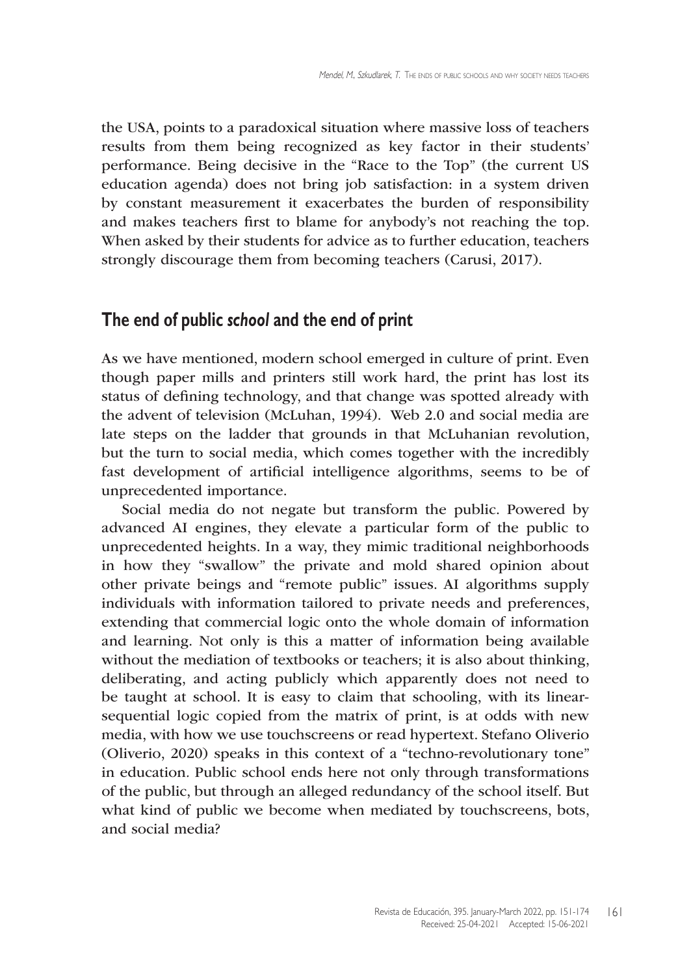the USA, points to a paradoxical situation where massive loss of teachers results from them being recognized as key factor in their students' performance. Being decisive in the "Race to the Top" (the current US education agenda) does not bring job satisfaction: in a system driven by constant measurement it exacerbates the burden of responsibility and makes teachers first to blame for anybody's not reaching the top. When asked by their students for advice as to further education, teachers strongly discourage them from becoming teachers (Carusi, 2017).

#### **The end of public** *school* **and the end of print**

As we have mentioned, modern school emerged in culture of print. Even though paper mills and printers still work hard, the print has lost its status of defining technology, and that change was spotted already with the advent of television (McLuhan, 1994). Web 2.0 and social media are late steps on the ladder that grounds in that McLuhanian revolution, but the turn to social media, which comes together with the incredibly fast development of artificial intelligence algorithms, seems to be of unprecedented importance.

Social media do not negate but transform the public. Powered by advanced AI engines, they elevate a particular form of the public to unprecedented heights. In a way, they mimic traditional neighborhoods in how they "swallow" the private and mold shared opinion about other private beings and "remote public" issues. AI algorithms supply individuals with information tailored to private needs and preferences, extending that commercial logic onto the whole domain of information and learning. Not only is this a matter of information being available without the mediation of textbooks or teachers; it is also about thinking, deliberating, and acting publicly which apparently does not need to be taught at school. It is easy to claim that schooling, with its linearsequential logic copied from the matrix of print, is at odds with new media, with how we use touchscreens or read hypertext. Stefano Oliverio (Oliverio, 2020) speaks in this context of a "techno-revolutionary tone" in education*.* Public school ends here not only through transformations of the public, but through an alleged redundancy of the school itself. But what kind of public we become when mediated by touchscreens, bots, and social media?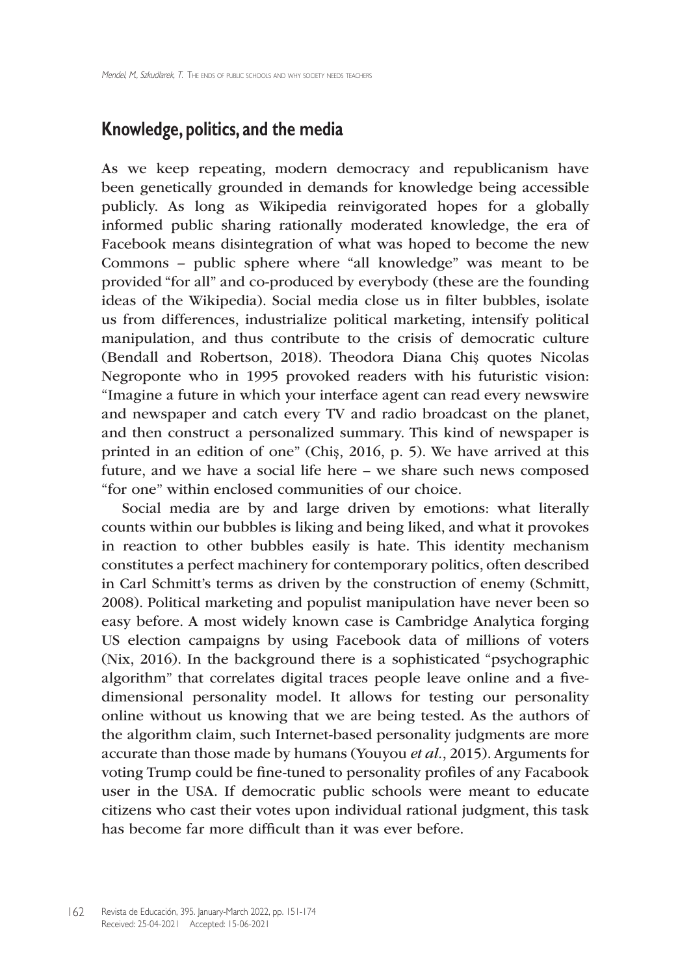### **Knowledge, politics, and the media**

As we keep repeating, modern democracy and republicanism have been genetically grounded in demands for knowledge being accessible publicly. As long as Wikipedia reinvigorated hopes for a globally informed public sharing rationally moderated knowledge, the era of Facebook means disintegration of what was hoped to become the new Commons – public sphere where "all knowledge" was meant to be provided "for all" and co-produced by everybody (these are the founding ideas of the Wikipedia). Social media close us in filter bubbles, isolate us from differences, industrialize political marketing, intensify political manipulation, and thus contribute to the crisis of democratic culture (Bendall and Robertson, 2018). Theodora Diana Chiş quotes Nicolas Negroponte who in 1995 provoked readers with his futuristic vision: "Imagine a future in which your interface agent can read every newswire and newspaper and catch every TV and radio broadcast on the planet, and then construct a personalized summary. This kind of newspaper is printed in an edition of one" (Chiş, 2016, p. 5). We have arrived at this future, and we have a social life here – we share such news composed "for one" within enclosed communities of our choice.

Social media are by and large driven by emotions: what literally counts within our bubbles is liking and being liked, and what it provokes in reaction to other bubbles easily is hate. This identity mechanism constitutes a perfect machinery for contemporary politics, often described in Carl Schmitt's terms as driven by the construction of enemy (Schmitt, 2008). Political marketing and populist manipulation have never been so easy before. A most widely known case is Cambridge Analytica forging US election campaigns by using Facebook data of millions of voters (Nix, 2016). In the background there is a sophisticated "psychographic algorithm" that correlates digital traces people leave online and a fivedimensional personality model. It allows for testing our personality online without us knowing that we are being tested. As the authors of the algorithm claim, such Internet-based personality judgments are more accurate than those made by humans (Youyou *et al.*, 2015). Arguments for voting Trump could be fine-tuned to personality profiles of any Facabook user in the USA. If democratic public schools were meant to educate citizens who cast their votes upon individual rational judgment, this task has become far more difficult than it was ever before.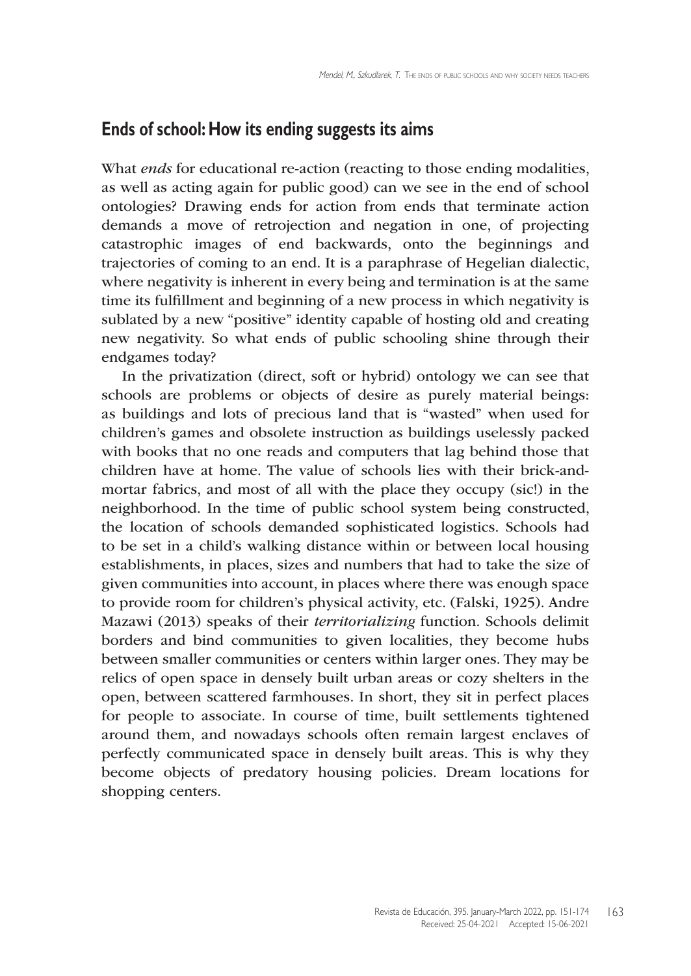# **Ends of school: How its ending suggests its aims**

What *ends* for educational re-action (reacting to those ending modalities, as well as acting again for public good) can we see in the end of school ontologies? Drawing ends for action from ends that terminate action demands a move of retrojection and negation in one, of projecting catastrophic images of end backwards, onto the beginnings and trajectories of coming to an end. It is a paraphrase of Hegelian dialectic, where negativity is inherent in every being and termination is at the same time its fulfillment and beginning of a new process in which negativity is sublated by a new "positive" identity capable of hosting old and creating new negativity. So what ends of public schooling shine through their endgames today?

In the privatization (direct, soft or hybrid) ontology we can see that schools are problems or objects of desire as purely material beings: as buildings and lots of precious land that is "wasted" when used for children's games and obsolete instruction as buildings uselessly packed with books that no one reads and computers that lag behind those that children have at home. The value of schools lies with their brick-andmortar fabrics, and most of all with the place they occupy (sic!) in the neighborhood. In the time of public school system being constructed, the location of schools demanded sophisticated logistics. Schools had to be set in a child's walking distance within or between local housing establishments, in places, sizes and numbers that had to take the size of given communities into account, in places where there was enough space to provide room for children's physical activity, etc. (Falski, 1925). Andre Mazawi (2013) speaks of their *territorializing* function*.* Schools delimit borders and bind communities to given localities, they become hubs between smaller communities or centers within larger ones. They may be relics of open space in densely built urban areas or cozy shelters in the open, between scattered farmhouses. In short, they sit in perfect places for people to associate. In course of time, built settlements tightened around them, and nowadays schools often remain largest enclaves of perfectly communicated space in densely built areas. This is why they become objects of predatory housing policies. Dream locations for shopping centers.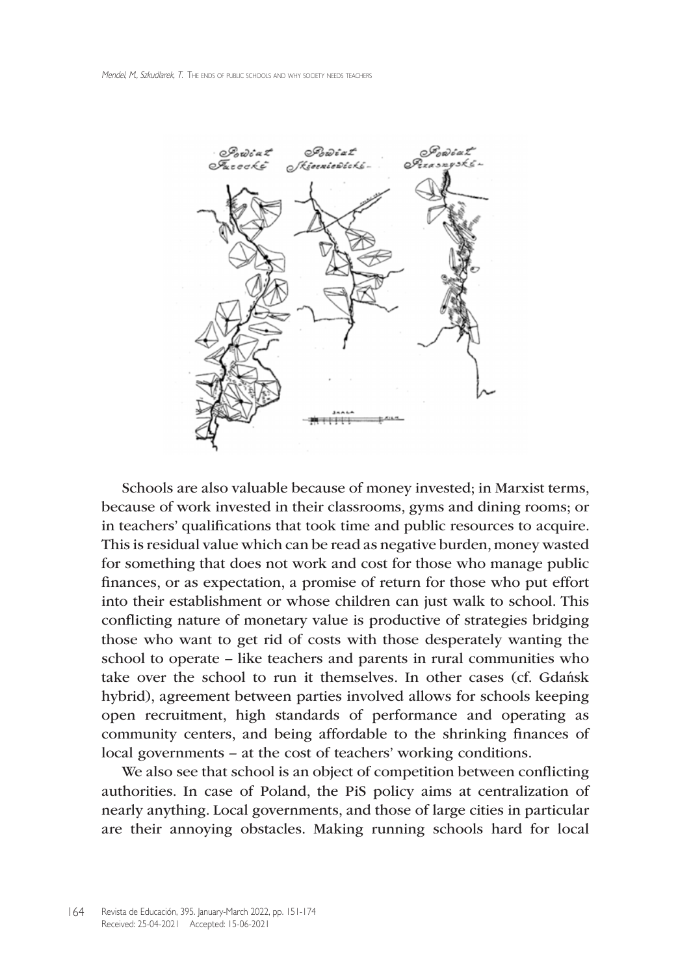

Schools are also valuable because of money invested; in Marxist terms, because of work invested in their classrooms, gyms and dining rooms; or in teachers' qualifications that took time and public resources to acquire. This is residual value which can be read as negative burden, money wasted for something that does not work and cost for those who manage public finances, or as expectation, a promise of return for those who put effort into their establishment or whose children can just walk to school. This conflicting nature of monetary value is productive of strategies bridging those who want to get rid of costs with those desperately wanting the school to operate – like teachers and parents in rural communities who take over the school to run it themselves. In other cases (cf. Gdańsk hybrid), agreement between parties involved allows for schools keeping open recruitment, high standards of performance and operating as community centers, and being affordable to the shrinking finances of local governments – at the cost of teachers' working conditions.

We also see that school is an object of competition between conflicting authorities. In case of Poland, the PiS policy aims at centralization of nearly anything. Local governments, and those of large cities in particular are their annoying obstacles. Making running schools hard for local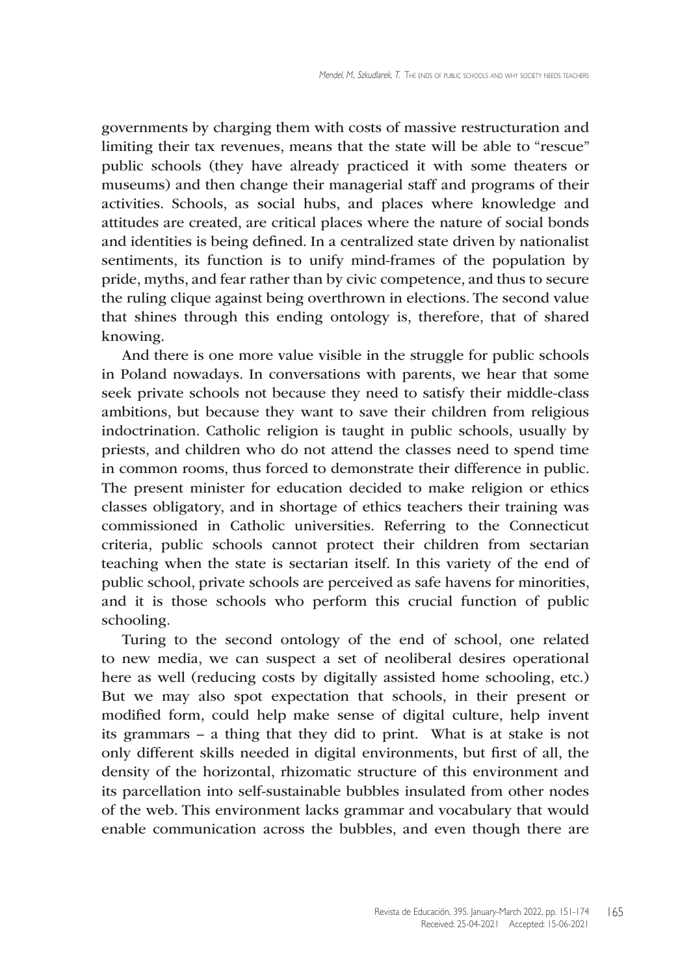governments by charging them with costs of massive restructuration and limiting their tax revenues, means that the state will be able to "rescue" public schools (they have already practiced it with some theaters or museums) and then change their managerial staff and programs of their activities. Schools, as social hubs, and places where knowledge and attitudes are created, are critical places where the nature of social bonds and identities is being defined. In a centralized state driven by nationalist sentiments, its function is to unify mind-frames of the population by pride, myths, and fear rather than by civic competence, and thus to secure the ruling clique against being overthrown in elections. The second value that shines through this ending ontology is, therefore, that of shared knowing.

And there is one more value visible in the struggle for public schools in Poland nowadays. In conversations with parents, we hear that some seek private schools not because they need to satisfy their middle-class ambitions, but because they want to save their children from religious indoctrination. Catholic religion is taught in public schools, usually by priests, and children who do not attend the classes need to spend time in common rooms, thus forced to demonstrate their difference in public. The present minister for education decided to make religion or ethics classes obligatory, and in shortage of ethics teachers their training was commissioned in Catholic universities. Referring to the Connecticut criteria, public schools cannot protect their children from sectarian teaching when the state is sectarian itself. In this variety of the end of public school, private schools are perceived as safe havens for minorities, and it is those schools who perform this crucial function of public schooling.

Turing to the second ontology of the end of school, one related to new media, we can suspect a set of neoliberal desires operational here as well (reducing costs by digitally assisted home schooling, etc.) But we may also spot expectation that schools, in their present or modified form, could help make sense of digital culture, help invent its grammars – a thing that they did to print. What is at stake is not only different skills needed in digital environments, but first of all, the density of the horizontal, rhizomatic structure of this environment and its parcellation into self-sustainable bubbles insulated from other nodes of the web. This environment lacks grammar and vocabulary that would enable communication across the bubbles, and even though there are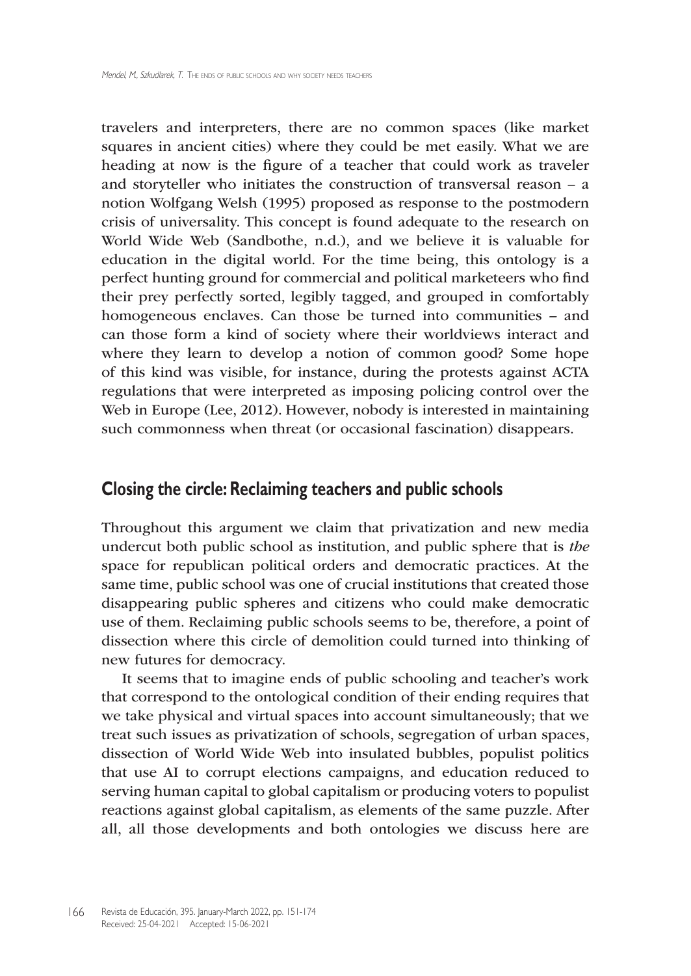travelers and interpreters, there are no common spaces (like market squares in ancient cities) where they could be met easily. What we are heading at now is the figure of a teacher that could work as traveler and storyteller who initiates the construction of transversal reason – a notion Wolfgang Welsh (1995) proposed as response to the postmodern crisis of universality. This concept is found adequate to the research on World Wide Web (Sandbothe, n.d.), and we believe it is valuable for education in the digital world. For the time being, this ontology is a perfect hunting ground for commercial and political marketeers who find their prey perfectly sorted, legibly tagged, and grouped in comfortably homogeneous enclaves. Can those be turned into communities – and can those form a kind of society where their worldviews interact and where they learn to develop a notion of common good? Some hope of this kind was visible, for instance, during the protests against ACTA regulations that were interpreted as imposing policing control over the Web in Europe (Lee, 2012). However, nobody is interested in maintaining such commonness when threat (or occasional fascination) disappears.

#### **Closing the circle: Reclaiming teachers and public schools**

Throughout this argument we claim that privatization and new media undercut both public school as institution, and public sphere that is *the* space for republican political orders and democratic practices. At the same time, public school was one of crucial institutions that created those disappearing public spheres and citizens who could make democratic use of them. Reclaiming public schools seems to be, therefore, a point of dissection where this circle of demolition could turned into thinking of new futures for democracy.

It seems that to imagine ends of public schooling and teacher's work that correspond to the ontological condition of their ending requires that we take physical and virtual spaces into account simultaneously; that we treat such issues as privatization of schools, segregation of urban spaces, dissection of World Wide Web into insulated bubbles, populist politics that use AI to corrupt elections campaigns, and education reduced to serving human capital to global capitalism or producing voters to populist reactions against global capitalism, as elements of the same puzzle. After all, all those developments and both ontologies we discuss here are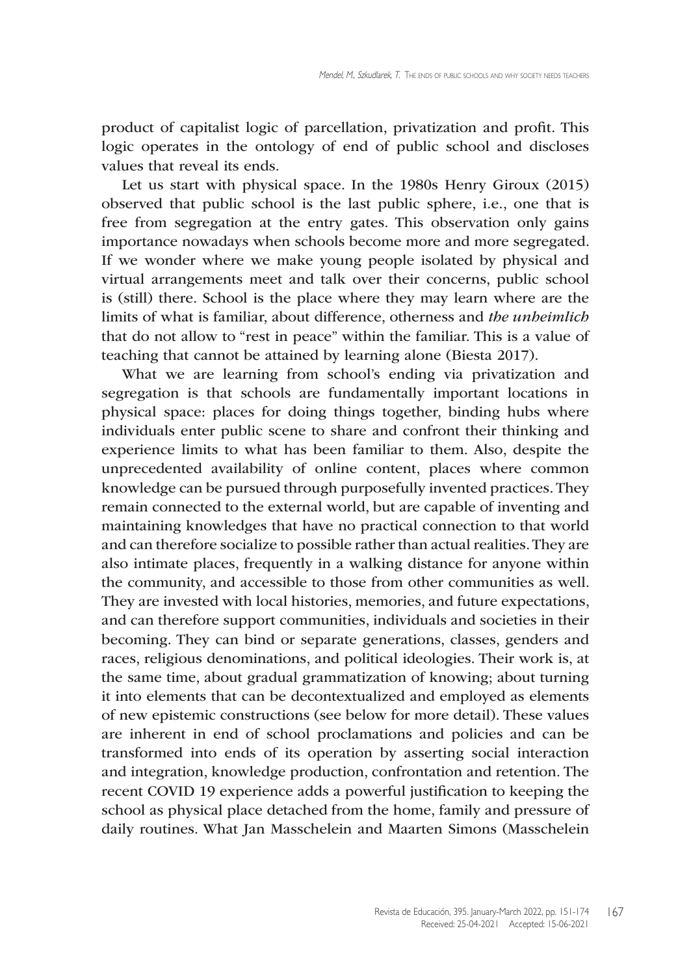product of capitalist logic of parcellation, privatization and profit. This logic operates in the ontology of end of public school and discloses values that reveal its ends.

Let us start with physical space. In the 1980s Henry Giroux (2015) observed that public school is the last public sphere, i.e., one that is free from segregation at the entry gates. This observation only gains importance nowadays when schools become more and more segregated. If we wonder where we make young people isolated by physical and virtual arrangements meet and talk over their concerns, public school is (still) there. School is the place where they may learn where are the limits of what is familiar, about difference, otherness and *the unheimlich* that do not allow to "rest in peace" within the familiar. This is a value of teaching that cannot be attained by learning alone (Biesta 2017).

What we are learning from school's ending via privatization and segregation is that schools are fundamentally important locations in physical space: places for doing things together, binding hubs where individuals enter public scene to share and confront their thinking and experience limits to what has been familiar to them. Also, despite the unprecedented availability of online content, places where common knowledge can be pursued through purposefully invented practices. They remain connected to the external world, but are capable of inventing and maintaining knowledges that have no practical connection to that world and can therefore socialize to possible rather than actual realities. They are also intimate places, frequently in a walking distance for anyone within the community, and accessible to those from other communities as well. They are invested with local histories, memories, and future expectations, and can therefore support communities, individuals and societies in their becoming. They can bind or separate generations, classes, genders and races, religious denominations, and political ideologies. Their work is, at the same time, about gradual grammatization of knowing; about turning it into elements that can be decontextualized and employed as elements of new epistemic constructions (see below for more detail). These values are inherent in end of school proclamations and policies and can be transformed into ends of its operation by asserting social interaction and integration, knowledge production, confrontation and retention. The recent COVID 19 experience adds a powerful justification to keeping the school as physical place detached from the home, family and pressure of daily routines. What Jan Masschelein and Maarten Simons (Masschelein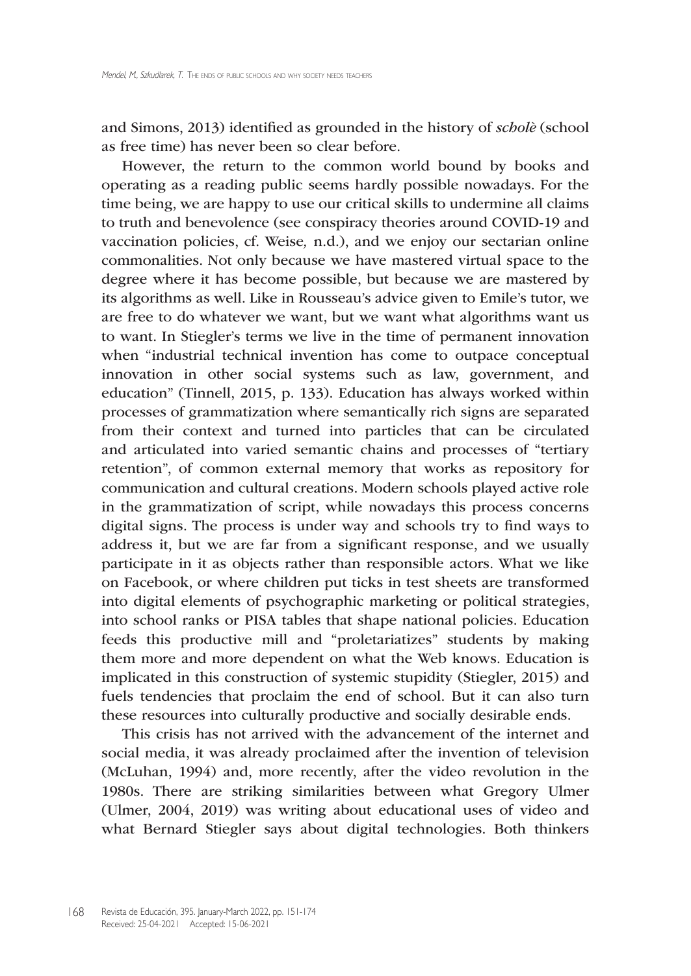and Simons, 2013) identified as grounded in the history of *scholè* (school as free time) has never been so clear before.

However, the return to the common world bound by books and operating as a reading public seems hardly possible nowadays. For the time being, we are happy to use our critical skills to undermine all claims to truth and benevolence (see conspiracy theories around COVID-19 and vaccination policies, cf. Weise*,* n.d.), and we enjoy our sectarian online commonalities. Not only because we have mastered virtual space to the degree where it has become possible, but because we are mastered by its algorithms as well. Like in Rousseau's advice given to Emile's tutor, we are free to do whatever we want, but we want what algorithms want us to want. In Stiegler's terms we live in the time of permanent innovation when "industrial technical invention has come to outpace conceptual innovation in other social systems such as law, government, and education" (Tinnell, 2015, p. 133). Education has always worked within processes of grammatization where semantically rich signs are separated from their context and turned into particles that can be circulated and articulated into varied semantic chains and processes of "tertiary retention", of common external memory that works as repository for communication and cultural creations. Modern schools played active role in the grammatization of script, while nowadays this process concerns digital signs. The process is under way and schools try to find ways to address it, but we are far from a significant response, and we usually participate in it as objects rather than responsible actors. What we like on Facebook, or where children put ticks in test sheets are transformed into digital elements of psychographic marketing or political strategies, into school ranks or PISA tables that shape national policies. Education feeds this productive mill and "proletariatizes" students by making them more and more dependent on what the Web knows. Education is implicated in this construction of systemic stupidity (Stiegler, 2015) and fuels tendencies that proclaim the end of school. But it can also turn these resources into culturally productive and socially desirable ends.

This crisis has not arrived with the advancement of the internet and social media, it was already proclaimed after the invention of television (McLuhan, 1994) and, more recently, after the video revolution in the 1980s. There are striking similarities between what Gregory Ulmer (Ulmer, 2004, 2019) was writing about educational uses of video and what Bernard Stiegler says about digital technologies. Both thinkers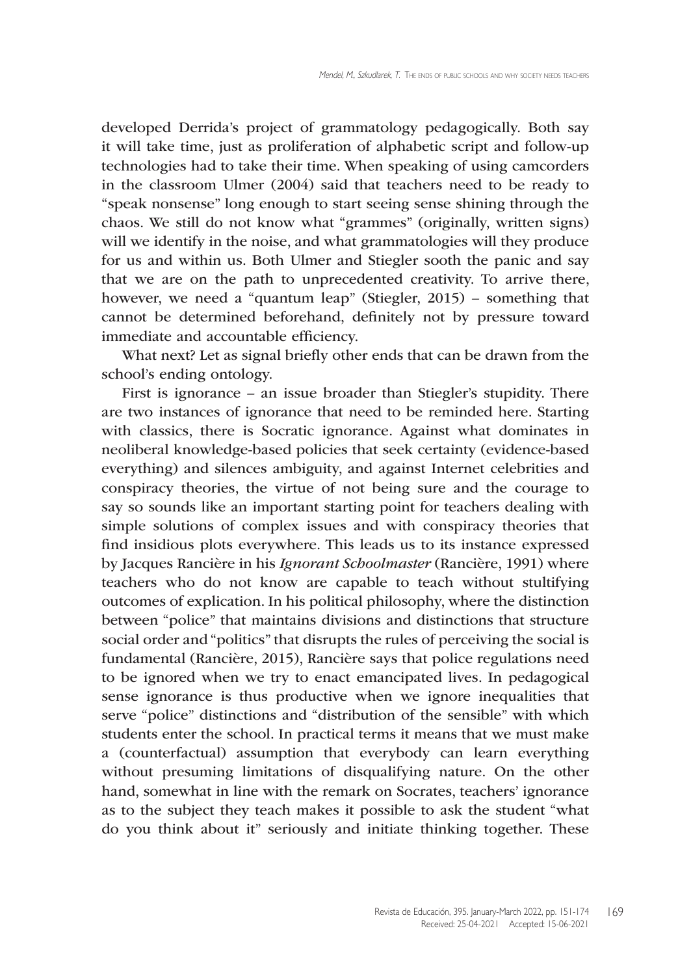developed Derrida's project of grammatology pedagogically. Both say it will take time, just as proliferation of alphabetic script and follow-up technologies had to take their time. When speaking of using camcorders in the classroom Ulmer (2004) said that teachers need to be ready to "speak nonsense" long enough to start seeing sense shining through the chaos. We still do not know what "grammes" (originally, written signs) will we identify in the noise, and what grammatologies will they produce for us and within us. Both Ulmer and Stiegler sooth the panic and say that we are on the path to unprecedented creativity. To arrive there, however, we need a "quantum leap" (Stiegler, 2015) – something that cannot be determined beforehand, definitely not by pressure toward immediate and accountable efficiency.

What next? Let as signal briefly other ends that can be drawn from the school's ending ontology.

First is ignorance – an issue broader than Stiegler's stupidity. There are two instances of ignorance that need to be reminded here. Starting with classics, there is Socratic ignorance. Against what dominates in neoliberal knowledge-based policies that seek certainty (evidence-based everything) and silences ambiguity, and against Internet celebrities and conspiracy theories, the virtue of not being sure and the courage to say so sounds like an important starting point for teachers dealing with simple solutions of complex issues and with conspiracy theories that find insidious plots everywhere. This leads us to its instance expressed by Jacques Rancière in his *Ignorant Schoolmaster* (Rancière, 1991) where teachers who do not know are capable to teach without stultifying outcomes of explication. In his political philosophy, where the distinction between "police" that maintains divisions and distinctions that structure social order and "politics" that disrupts the rules of perceiving the social is fundamental (Rancière, 2015), Rancière says that police regulations need to be ignored when we try to enact emancipated lives. In pedagogical sense ignorance is thus productive when we ignore inequalities that serve "police" distinctions and "distribution of the sensible" with which students enter the school. In practical terms it means that we must make a (counterfactual) assumption that everybody can learn everything without presuming limitations of disqualifying nature. On the other hand, somewhat in line with the remark on Socrates, teachers' ignorance as to the subject they teach makes it possible to ask the student "what do you think about it" seriously and initiate thinking together. These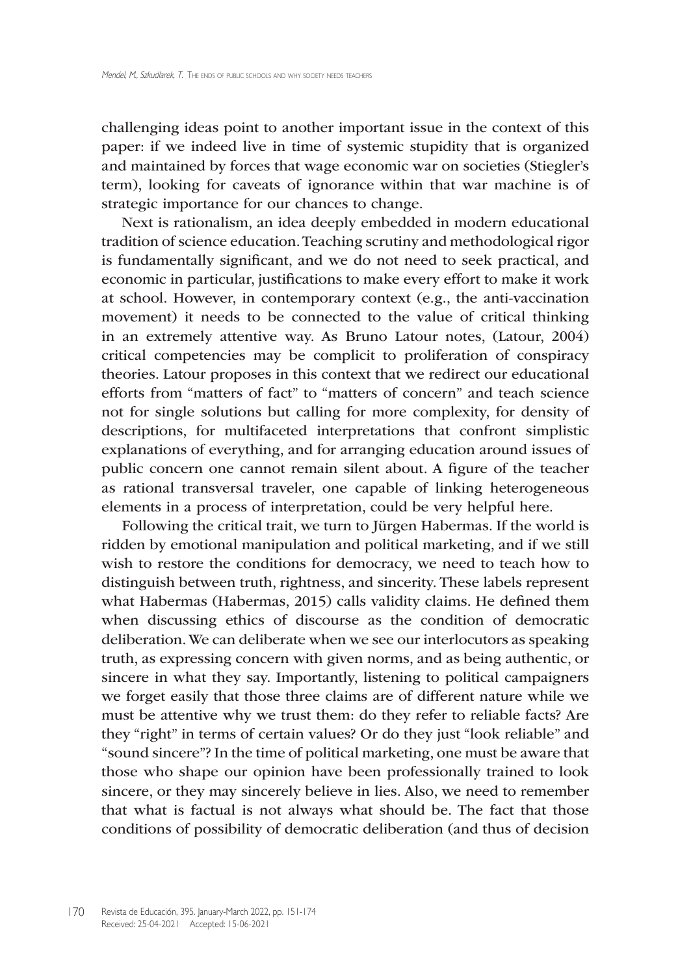challenging ideas point to another important issue in the context of this paper: if we indeed live in time of systemic stupidity that is organized and maintained by forces that wage economic war on societies (Stiegler's term), looking for caveats of ignorance within that war machine is of strategic importance for our chances to change.

Next is rationalism, an idea deeply embedded in modern educational tradition of science education. Teaching scrutiny and methodological rigor is fundamentally significant, and we do not need to seek practical, and economic in particular, justifications to make every effort to make it work at school. However, in contemporary context (e.g., the anti-vaccination movement) it needs to be connected to the value of critical thinking in an extremely attentive way. As Bruno Latour notes, (Latour, 2004) critical competencies may be complicit to proliferation of conspiracy theories. Latour proposes in this context that we redirect our educational efforts from "matters of fact" to "matters of concern" and teach science not for single solutions but calling for more complexity, for density of descriptions, for multifaceted interpretations that confront simplistic explanations of everything, and for arranging education around issues of public concern one cannot remain silent about. A figure of the teacher as rational transversal traveler, one capable of linking heterogeneous elements in a process of interpretation, could be very helpful here.

Following the critical trait, we turn to Jürgen Habermas. If the world is ridden by emotional manipulation and political marketing, and if we still wish to restore the conditions for democracy, we need to teach how to distinguish between truth, rightness, and sincerity. These labels represent what Habermas (Habermas, 2015) calls validity claims. He defined them when discussing ethics of discourse as the condition of democratic deliberation. We can deliberate when we see our interlocutors as speaking truth, as expressing concern with given norms, and as being authentic, or sincere in what they say. Importantly, listening to political campaigners we forget easily that those three claims are of different nature while we must be attentive why we trust them: do they refer to reliable facts? Are they "right" in terms of certain values? Or do they just "look reliable" and "sound sincere"? In the time of political marketing, one must be aware that those who shape our opinion have been professionally trained to look sincere, or they may sincerely believe in lies. Also, we need to remember that what is factual is not always what should be. The fact that those conditions of possibility of democratic deliberation (and thus of decision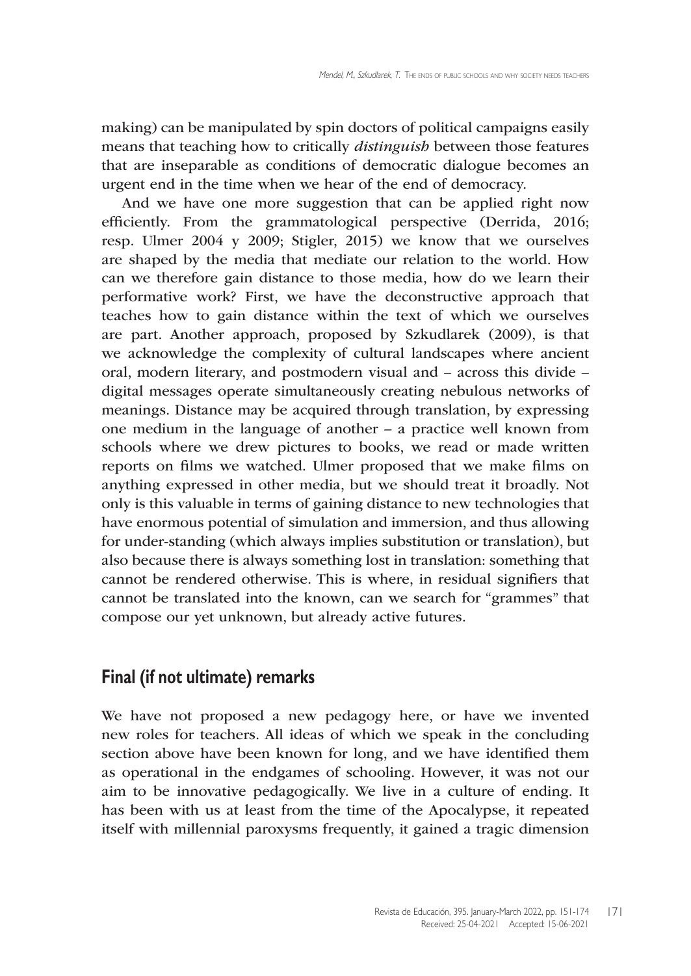making) can be manipulated by spin doctors of political campaigns easily means that teaching how to critically *distinguish* between those features that are inseparable as conditions of democratic dialogue becomes an urgent end in the time when we hear of the end of democracy.

And we have one more suggestion that can be applied right now efficiently. From the grammatological perspective (Derrida, 2016; resp. Ulmer 2004 y 2009; Stigler, 2015) we know that we ourselves are shaped by the media that mediate our relation to the world. How can we therefore gain distance to those media, how do we learn their performative work? First, we have the deconstructive approach that teaches how to gain distance within the text of which we ourselves are part. Another approach, proposed by Szkudlarek (2009), is that we acknowledge the complexity of cultural landscapes where ancient oral, modern literary, and postmodern visual and – across this divide – digital messages operate simultaneously creating nebulous networks of meanings. Distance may be acquired through translation, by expressing one medium in the language of another – a practice well known from schools where we drew pictures to books, we read or made written reports on films we watched. Ulmer proposed that we make films on anything expressed in other media, but we should treat it broadly. Not only is this valuable in terms of gaining distance to new technologies that have enormous potential of simulation and immersion, and thus allowing for under-standing (which always implies substitution or translation), but also because there is always something lost in translation: something that cannot be rendered otherwise. This is where, in residual signifiers that cannot be translated into the known, can we search for "grammes" that compose our yet unknown, but already active futures.

# **Final (if not ultimate) remarks**

We have not proposed a new pedagogy here, or have we invented new roles for teachers. All ideas of which we speak in the concluding section above have been known for long, and we have identified them as operational in the endgames of schooling. However, it was not our aim to be innovative pedagogically. We live in a culture of ending. It has been with us at least from the time of the Apocalypse, it repeated itself with millennial paroxysms frequently, it gained a tragic dimension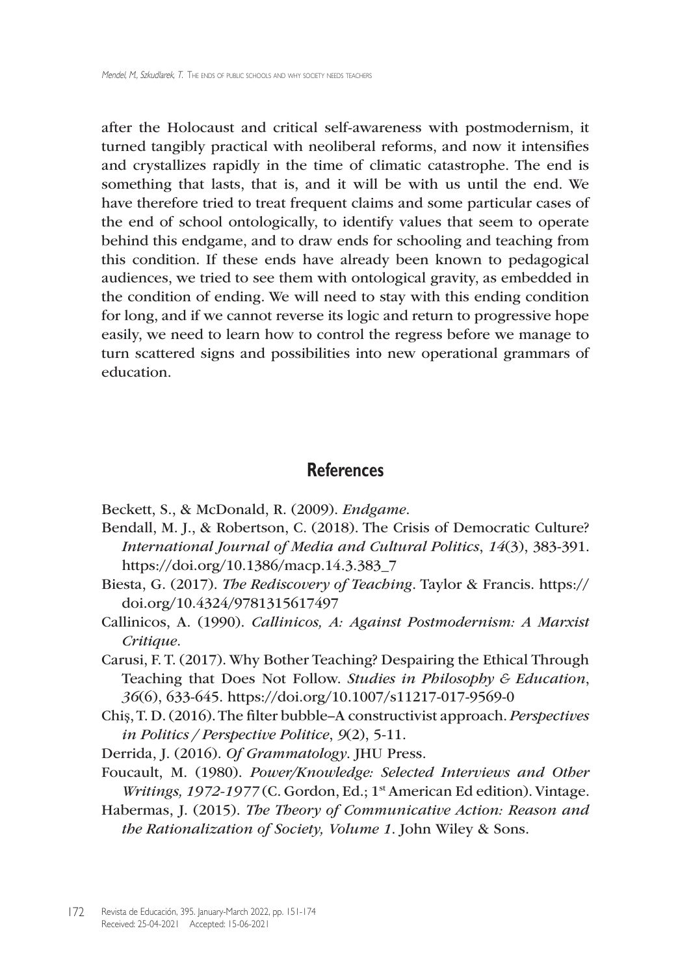after the Holocaust and critical self-awareness with postmodernism, it turned tangibly practical with neoliberal reforms, and now it intensifies and crystallizes rapidly in the time of climatic catastrophe. The end is something that lasts, that is, and it will be with us until the end. We have therefore tried to treat frequent claims and some particular cases of the end of school ontologically, to identify values that seem to operate behind this endgame, and to draw ends for schooling and teaching from this condition. If these ends have already been known to pedagogical audiences, we tried to see them with ontological gravity, as embedded in the condition of ending. We will need to stay with this ending condition for long, and if we cannot reverse its logic and return to progressive hope easily, we need to learn how to control the regress before we manage to turn scattered signs and possibilities into new operational grammars of education.

#### **References**

- Beckett, S., & McDonald, R. (2009). *Endgame*.
- Bendall, M. J., & Robertson, C. (2018). The Crisis of Democratic Culture? *International Journal of Media and Cultural Politics*, *14*(3), 383-391. [https://doi.org/10.1386/macp.14.3.383\\_7](https://doi.org/10.1386/macp.14.3.383_7)
- Biesta, G. (2017). *The Rediscovery of Teaching*. Taylor & Francis. [https://](https://doi.org/10.4324/9781315617497) [doi.org/10.4324/9781315617497](https://doi.org/10.4324/9781315617497)
- Callinicos, A. (1990). *Callinicos, A: Against Postmodernism: A Marxist Critique*.
- Carusi, F. T. (2017). Why Bother Teaching? Despairing the Ethical Through Teaching that Does Not Follow. *Studies in Philosophy & Education*, *36*(6), 633-645. [https://doi.org/10.1007/s11217-](https://doi.org/10.1007/s11217)017-9569-0
- Chiş, T. D. (2016). The filter bubble–A constructivist approach. *Perspectives in Politics / Perspective Politice*, *9*(2), 5-11.
- Derrida, J. (2016). *Of Grammatology*. JHU Press.
- Foucault, M. (1980). *Power/Knowledge: Selected Interviews and Other Writings, 1972-1977* (C. Gordon, Ed.; 1st American Ed edition). Vintage.
- Habermas, J. (2015). *The Theory of Communicative Action: Reason and the Rationalization of Society, Volume 1*. John Wiley & Sons.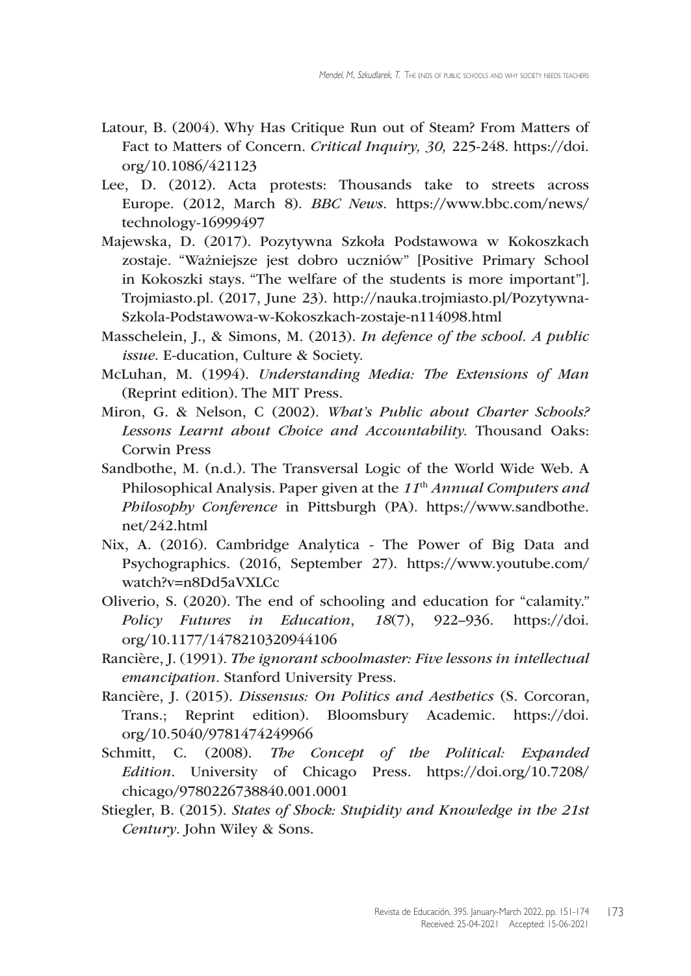- Latour, B. (2004). Why Has Critique Run out of Steam? From Matters of Fact to Matters of Concern. *Critical Inquiry, 30,* 225-248. [https://doi.](https://doi.org/10.1086/421123) [org/10.1086/421123](https://doi.org/10.1086/421123)
- Lee, D. (2012). Acta protests: Thousands take to streets across Europe. (2012, March 8). *BBC News*. [https://www.bbc.com/news/](https://www.bbc.com/news/technology) [technology-](https://www.bbc.com/news/technology)16999497
- Majewska, D. (2017). Pozytywna Szkoła Podstawowa w Kokoszkach zostaje. "Ważniejsze jest dobro uczniów" [Positive Primary School in Kokoszki stays. "The welfare of the students is more important"]. <Trojmiasto.pl>*.* (2017, June 23). [http://nauka.trojmiasto.pl/Pozytywna-](http://nauka.trojmiasto.pl/Pozytywna-Szkola-Podstawowa-w-Kokoszkach-zostaje-n114098.html)[Szkola-Podstawowa-w-Kokoszkach-zostaje-n114098.html](http://nauka.trojmiasto.pl/Pozytywna-Szkola-Podstawowa-w-Kokoszkach-zostaje-n114098.html)
- Masschelein, J., & Simons, M. (2013). *In defence of the school. A public issue*. E-ducation, Culture & Society.
- McLuhan, M. (1994). *Understanding Media: The Extensions of Man* (Reprint edition). The MIT Press.
- Miron, G. & Nelson, C (2002). *What's Public about Charter Schools? Lessons Learnt about Choice and Accountability.* Thousand Oaks: Corwin Press
- Sandbothe, M. (n.d.). The Transversal Logic of the World Wide Web. A Philosophical Analysis. Paper given at the *11*th *Annual Computers and Philosophy Conference* in Pittsburgh (PA). [https://www.sandbothe.](https://www.sandbothe.net/242.html) [net/242.html](https://www.sandbothe.net/242.html)
- Nix, A. (2016). Cambridge Analytica The Power of Big Data and Psychographics. (2016, September 27). [https://www.youtube.com/](https://www.youtube.com/watch?v=n8Dd5aVXLCc) [watch?v=n8Dd5aVXLCc](https://www.youtube.com/watch?v=n8Dd5aVXLCc)
- Oliverio, S. (2020). The end of schooling and education for "calamity." *Policy Futures in Education*, *18*(7), 922–936. [https://doi.](https://doi.org/10.1177/1478210320944106) [org/10.1177/1478210320944106](https://doi.org/10.1177/1478210320944106)
- Rancière, J. (1991). *The ignorant schoolmaster: Five lessons in intellectual emancipation*. Stanford University Press.
- Rancière, J. (2015). *Dissensus: On Politics and Aesthetics* (S. Corcoran, Trans.; Reprint edition). Bloomsbury Academic. [https://doi.](https://doi.org/10.5040/9781474249966) [org/10.5040/9781474249966](https://doi.org/10.5040/9781474249966)
- Schmitt, C. (2008). *The Concept of the Political: Expanded Edition*. University of Chicago Press. [https://doi.org/10.7208/](https://doi.org/10.7208/chicago/9780226738840.001.0001) [chicago/9780226738840.001.0001](https://doi.org/10.7208/chicago/9780226738840.001.0001)
- Stiegler, B. (2015). *States of Shock: Stupidity and Knowledge in the 21st Century*. John Wiley & Sons.